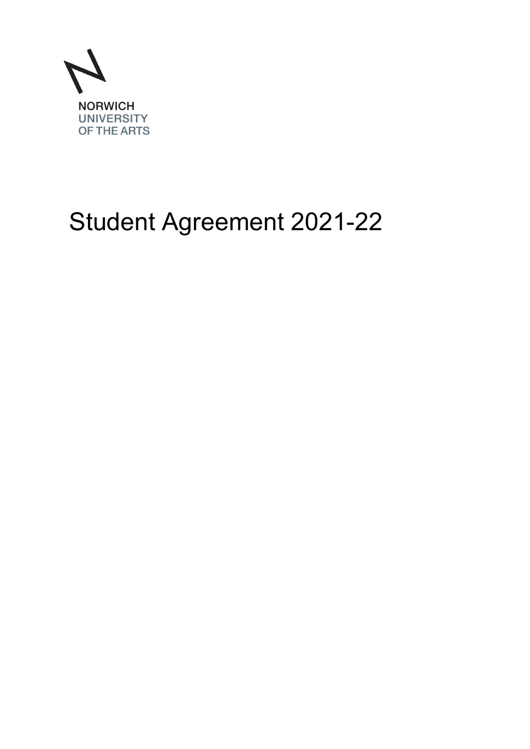

# Student Agreement 2021-22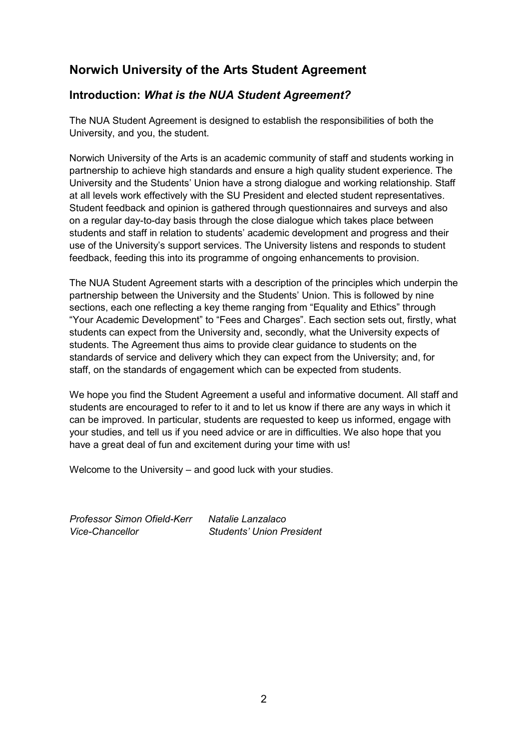## **Norwich University of the Arts Student Agreement**

### **Introduction:** *What is the NUA Student Agreement?*

The NUA Student Agreement is designed to establish the responsibilities of both the University, and you, the student.

Norwich University of the Arts is an academic community of staff and students working in partnership to achieve high standards and ensure a high quality student experience. The University and the Students' Union have a strong dialogue and working relationship. Staff at all levels work effectively with the SU President and elected student representatives. Student feedback and opinion is gathered through questionnaires and surveys and also on a regular day-to-day basis through the close dialogue which takes place between students and staff in relation to students' academic development and progress and their use of the University's support services. The University listens and responds to student feedback, feeding this into its programme of ongoing enhancements to provision.

The NUA Student Agreement starts with a description of the principles which underpin the partnership between the University and the Students' Union. This is followed by nine sections, each one reflecting a key theme ranging from "Equality and Ethics" through "Your Academic Development" to "Fees and Charges". Each section sets out, firstly, what students can expect from the University and, secondly, what the University expects of students. The Agreement thus aims to provide clear guidance to students on the standards of service and delivery which they can expect from the University; and, for staff, on the standards of engagement which can be expected from students.

We hope you find the Student Agreement a useful and informative document. All staff and students are encouraged to refer to it and to let us know if there are any ways in which it can be improved. In particular, students are requested to keep us informed, engage with your studies, and tell us if you need advice or are in difficulties. We also hope that you have a great deal of fun and excitement during your time with us!

Welcome to the University – and good luck with your studies.

*Professor Simon Ofield-Kerr Natalie Lanzalaco Vice-Chancellor Students' Union President*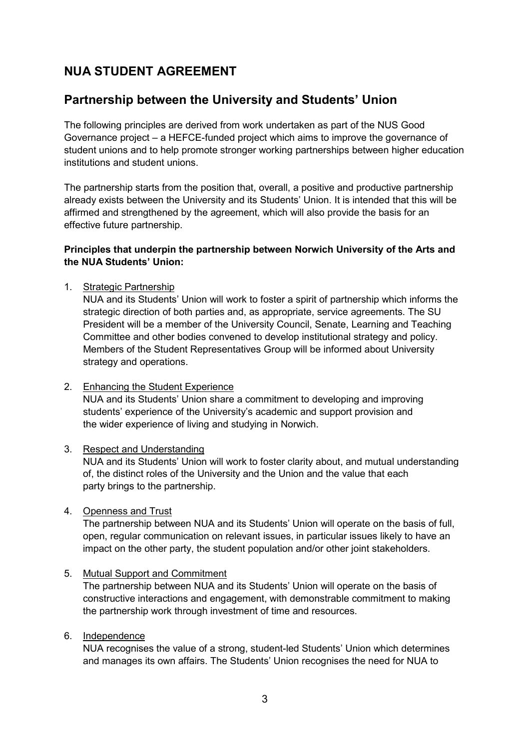## **NUA STUDENT AGREEMENT**

## **Partnership between the University and Students' Union**

The following principles are derived from work undertaken as part of the NUS Good Governance project – a HEFCE-funded project which aims to improve the governance of student unions and to help promote stronger working partnerships between higher education institutions and student unions.

The partnership starts from the position that, overall, a positive and productive partnership already exists between the University and its Students' Union. It is intended that this will be affirmed and strengthened by the agreement, which will also provide the basis for an effective future partnership.

#### **Principles that underpin the partnership between Norwich University of the Arts and the NUA Students' Union:**

1. Strategic Partnership

NUA and its Students' Union will work to foster a spirit of partnership which informs the strategic direction of both parties and, as appropriate, service agreements. The SU President will be a member of the University Council, Senate, Learning and Teaching Committee and other bodies convened to develop institutional strategy and policy. Members of the Student Representatives Group will be informed about University strategy and operations.

2. Enhancing the Student Experience

NUA and its Students' Union share a commitment to developing and improving students' experience of the University's academic and support provision and the wider experience of living and studying in Norwich.

3. Respect and Understanding

NUA and its Students' Union will work to foster clarity about, and mutual understanding of, the distinct roles of the University and the Union and the value that each party brings to the partnership.

4. Openness and Trust

The partnership between NUA and its Students' Union will operate on the basis of full, open, regular communication on relevant issues, in particular issues likely to have an impact on the other party, the student population and/or other joint stakeholders.

#### 5. Mutual Support and Commitment

The partnership between NUA and its Students' Union will operate on the basis of constructive interactions and engagement, with demonstrable commitment to making the partnership work through investment of time and resources.

#### 6. Independence

NUA recognises the value of a strong, student-led Students' Union which determines and manages its own affairs. The Students' Union recognises the need for NUA to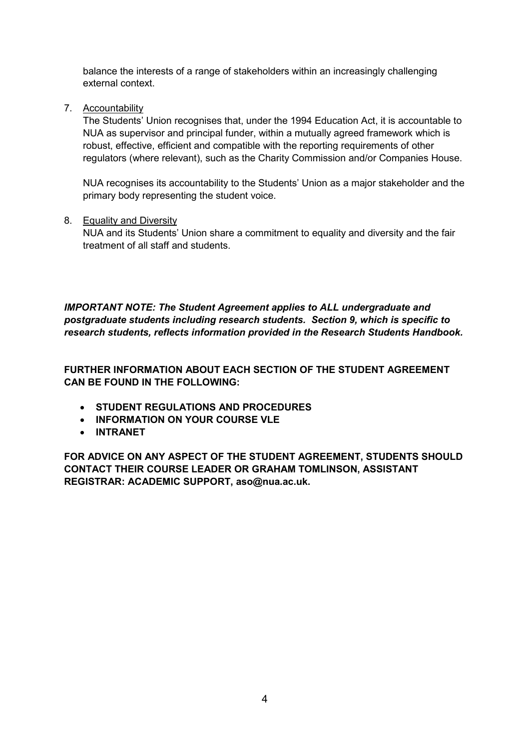balance the interests of a range of stakeholders within an increasingly challenging external context.

7. Accountability

The Students' Union recognises that, under the 1994 Education Act, it is accountable to NUA as supervisor and principal funder, within a mutually agreed framework which is robust, effective, efficient and compatible with the reporting requirements of other regulators (where relevant), such as the Charity Commission and/or Companies House.

NUA recognises its accountability to the Students' Union as a major stakeholder and the primary body representing the student voice.

8. Equality and Diversity

NUA and its Students' Union share a commitment to equality and diversity and the fair treatment of all staff and students.

*IMPORTANT NOTE: The Student Agreement applies to ALL undergraduate and postgraduate students including research students. Section 9, which is specific to research students, reflects information provided in the Research Students Handbook.* 

**FURTHER INFORMATION ABOUT EACH SECTION OF THE STUDENT AGREEMENT CAN BE FOUND IN THE FOLLOWING:** 

- **STUDENT REGULATIONS AND PROCEDURES**
- **INFORMATION ON YOUR COURSE VLE**
- **INTRANET**

**FOR ADVICE ON ANY ASPECT OF THE STUDENT AGREEMENT, STUDENTS SHOULD CONTACT THEIR COURSE LEADER OR GRAHAM TOMLINSON, ASSISTANT REGISTRAR: ACADEMIC SUPPORT, [aso@nua.ac.uk.](mailto:aso@nua.ac.uk)**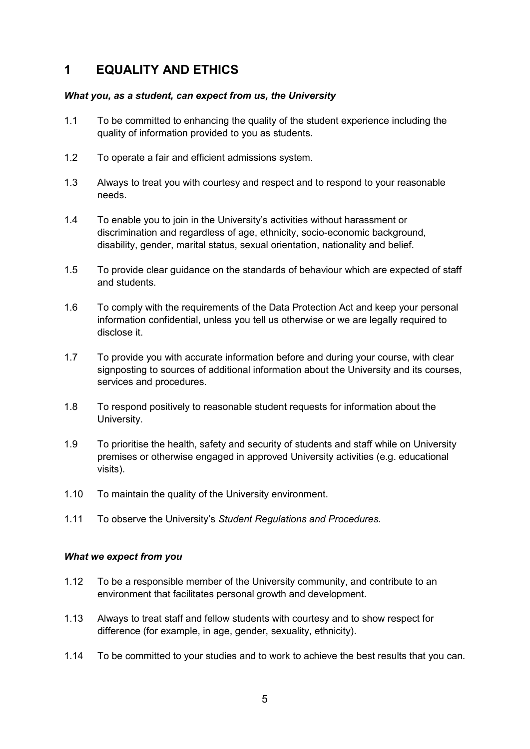## **1 EQUALITY AND ETHICS**

#### *What you, as a student, can expect from us, the University*

- 1.1 To be committed to enhancing the quality of the student experience including the quality of information provided to you as students.
- 1.2 To operate a fair and efficient admissions system.
- 1.3 Always to treat you with courtesy and respect and to respond to your reasonable needs.
- 1.4 To enable you to join in the University's activities without harassment or discrimination and regardless of age, ethnicity, socio-economic background, disability, gender, marital status, sexual orientation, nationality and belief.
- 1.5 To provide clear guidance on the standards of behaviour which are expected of staff and students.
- 1.6 To comply with the requirements of the Data Protection Act and keep your personal information confidential, unless you tell us otherwise or we are legally required to disclose it.
- 1.7 To provide you with accurate information before and during your course, with clear signposting to sources of additional information about the University and its courses, services and procedures.
- 1.8 To respond positively to reasonable student requests for information about the University.
- 1.9 To prioritise the health, safety and security of students and staff while on University premises or otherwise engaged in approved University activities (e.g. educational visits).
- 1.10 To maintain the quality of the University environment.
- 1.11 To observe the University's *Student Regulations and Procedures.*

- 1.12 To be a responsible member of the University community, and contribute to an environment that facilitates personal growth and development.
- 1.13 Always to treat staff and fellow students with courtesy and to show respect for difference (for example, in age, gender, sexuality, ethnicity).
- 1.14 To be committed to your studies and to work to achieve the best results that you can.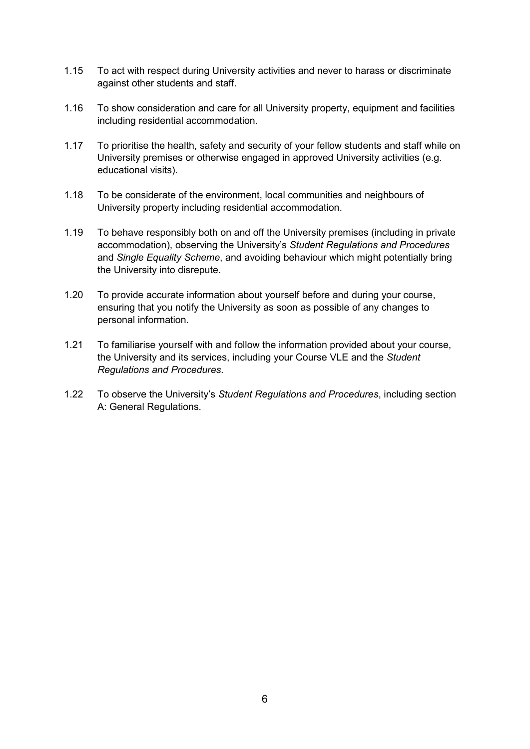- 1.15 To act with respect during University activities and never to harass or discriminate against other students and staff.
- 1.16 To show consideration and care for all University property, equipment and facilities including residential accommodation.
- 1.17 To prioritise the health, safety and security of your fellow students and staff while on University premises or otherwise engaged in approved University activities (e.g. educational visits).
- 1.18 To be considerate of the environment, local communities and neighbours of University property including residential accommodation.
- 1.19 To behave responsibly both on and off the University premises (including in private accommodation), observing the University's *Student Regulations and Procedures*  and *Single Equality Scheme*, and avoiding behaviour which might potentially bring the University into disrepute.
- 1.20 To provide accurate information about yourself before and during your course, ensuring that you notify the University as soon as possible of any changes to personal information.
- 1.21 To familiarise yourself with and follow the information provided about your course, the University and its services, including your Course VLE and the *Student Regulations and Procedures.*
- 1.22 To observe the University's *Student Regulations and Procedures*, including section A: General Regulations.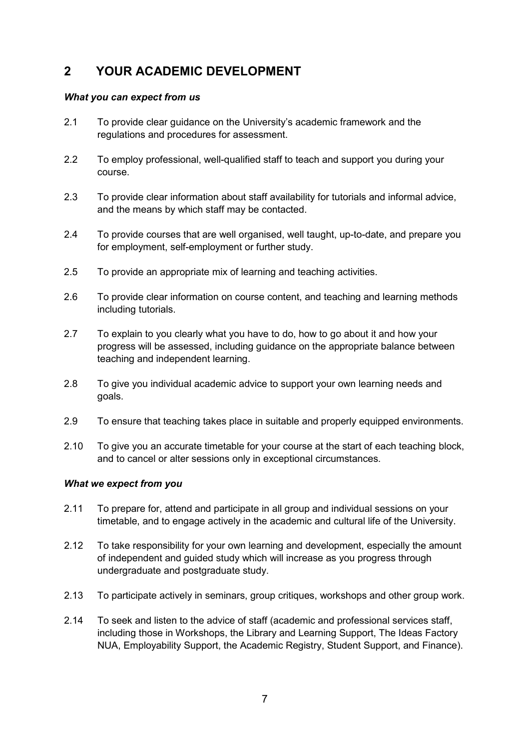## **2 YOUR ACADEMIC DEVELOPMENT**

#### *What you can expect from us*

- 2.1 To provide clear guidance on the University's academic framework and the regulations and procedures for assessment.
- 2.2 To employ professional, well-qualified staff to teach and support you during your course.
- 2.3 To provide clear information about staff availability for tutorials and informal advice, and the means by which staff may be contacted.
- 2.4 To provide courses that are well organised, well taught, up-to-date, and prepare you for employment, self-employment or further study.
- 2.5 To provide an appropriate mix of learning and teaching activities.
- 2.6 To provide clear information on course content, and teaching and learning methods including tutorials.
- 2.7 To explain to you clearly what you have to do, how to go about it and how your progress will be assessed, including guidance on the appropriate balance between teaching and independent learning.
- 2.8 To give you individual academic advice to support your own learning needs and goals.
- 2.9 To ensure that teaching takes place in suitable and properly equipped environments.
- 2.10 To give you an accurate timetable for your course at the start of each teaching block, and to cancel or alter sessions only in exceptional circumstances.

- 2.11 To prepare for, attend and participate in all group and individual sessions on your timetable, and to engage actively in the academic and cultural life of the University.
- 2.12 To take responsibility for your own learning and development, especially the amount of independent and guided study which will increase as you progress through undergraduate and postgraduate study.
- 2.13 To participate actively in seminars, group critiques, workshops and other group work.
- 2.14 To seek and listen to the advice of staff (academic and professional services staff, including those in Workshops, the Library and Learning Support, The Ideas Factory NUA, Employability Support, the Academic Registry, Student Support, and Finance).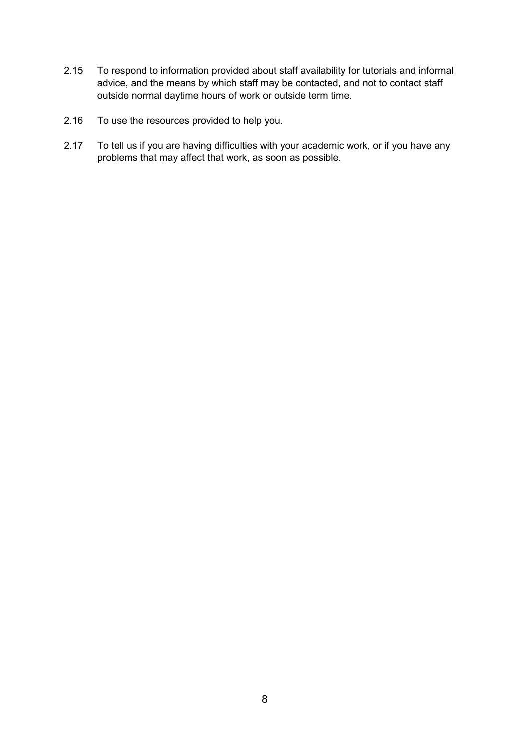- 2.15 To respond to information provided about staff availability for tutorials and informal advice, and the means by which staff may be contacted, and not to contact staff outside normal daytime hours of work or outside term time.
- 2.16 To use the resources provided to help you.
- 2.17 To tell us if you are having difficulties with your academic work, or if you have any problems that may affect that work, as soon as possible.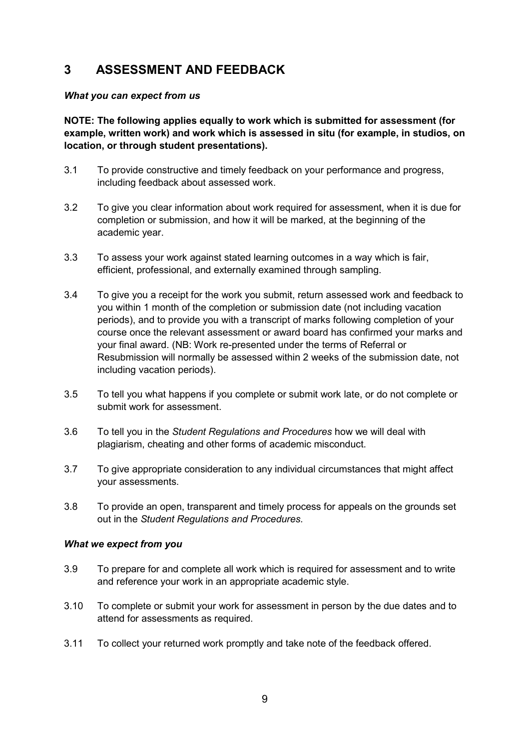## **3 ASSESSMENT AND FEEDBACK**

#### *What you can expect from us*

**NOTE: The following applies equally to work which is submitted for assessment (for example, written work) and work which is assessed in situ (for example, in studios, on location, or through student presentations).** 

- 3.1 To provide constructive and timely feedback on your performance and progress, including feedback about assessed work.
- 3.2 To give you clear information about work required for assessment, when it is due for completion or submission, and how it will be marked, at the beginning of the academic year.
- 3.3 To assess your work against stated learning outcomes in a way which is fair, efficient, professional, and externally examined through sampling.
- 3.4 To give you a receipt for the work you submit, return assessed work and feedback to you within 1 month of the completion or submission date (not including vacation periods), and to provide you with a transcript of marks following completion of your course once the relevant assessment or award board has confirmed your marks and your final award. (NB: Work re-presented under the terms of Referral or Resubmission will normally be assessed within 2 weeks of the submission date, not including vacation periods).
- 3.5 To tell you what happens if you complete or submit work late, or do not complete or submit work for assessment.
- 3.6 To tell you in the *Student Regulations and Procedures* how we will deal with plagiarism, cheating and other forms of academic misconduct.
- 3.7 To give appropriate consideration to any individual circumstances that might affect your assessments.
- 3.8 To provide an open, transparent and timely process for appeals on the grounds set out in the *Student Regulations and Procedures.*

- 3.9 To prepare for and complete all work which is required for assessment and to write and reference your work in an appropriate academic style.
- 3.10 To complete or submit your work for assessment in person by the due dates and to attend for assessments as required.
- 3.11 To collect your returned work promptly and take note of the feedback offered.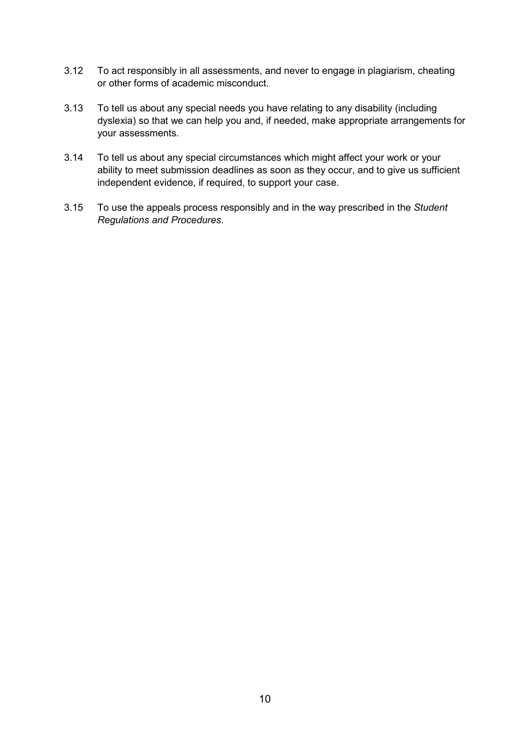- 3.12 To act responsibly in all assessments, and never to engage in plagiarism, cheating or other forms of academic misconduct.
- 3.13 To tell us about any special needs you have relating to any disability (including dyslexia) so that we can help you and, if needed, make appropriate arrangements for your assessments.
- 3.14 To tell us about any special circumstances which might affect your work or your ability to meet submission deadlines as soon as they occur, and to give us sufficient independent evidence, if required, to support your case.
- 3.15 To use the appeals process responsibly and in the way prescribed in the *Student Regulations and Procedures*.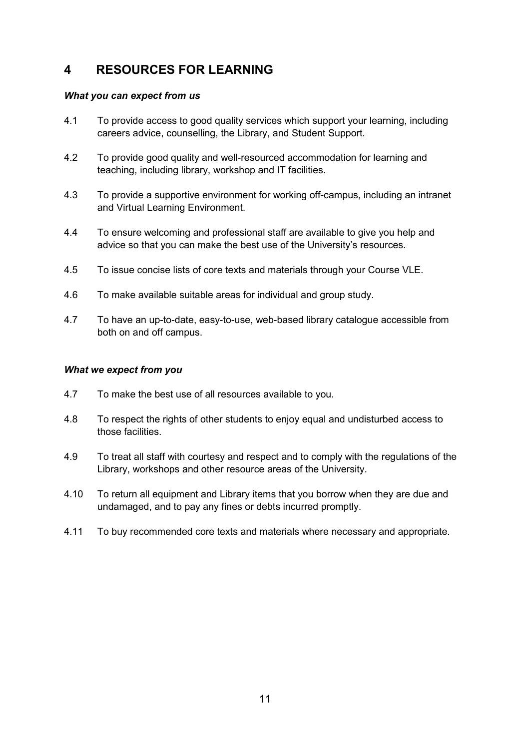## **4 RESOURCES FOR LEARNING**

#### *What you can expect from us*

- 4.1 To provide access to good quality services which support your learning, including careers advice, counselling, the Library, and Student Support.
- 4.2 To provide good quality and well-resourced accommodation for learning and teaching, including library, workshop and IT facilities.
- 4.3 To provide a supportive environment for working off-campus, including an intranet and Virtual Learning Environment.
- 4.4 To ensure welcoming and professional staff are available to give you help and advice so that you can make the best use of the University's resources.
- 4.5 To issue concise lists of core texts and materials through your Course VLE.
- 4.6 To make available suitable areas for individual and group study.
- 4.7 To have an up-to-date, easy-to-use, web-based library catalogue accessible from both on and off campus.

- 4.7 To make the best use of all resources available to you.
- 4.8 To respect the rights of other students to enjoy equal and undisturbed access to those facilities.
- 4.9 To treat all staff with courtesy and respect and to comply with the regulations of the Library, workshops and other resource areas of the University.
- 4.10 To return all equipment and Library items that you borrow when they are due and undamaged, and to pay any fines or debts incurred promptly.
- 4.11 To buy recommended core texts and materials where necessary and appropriate.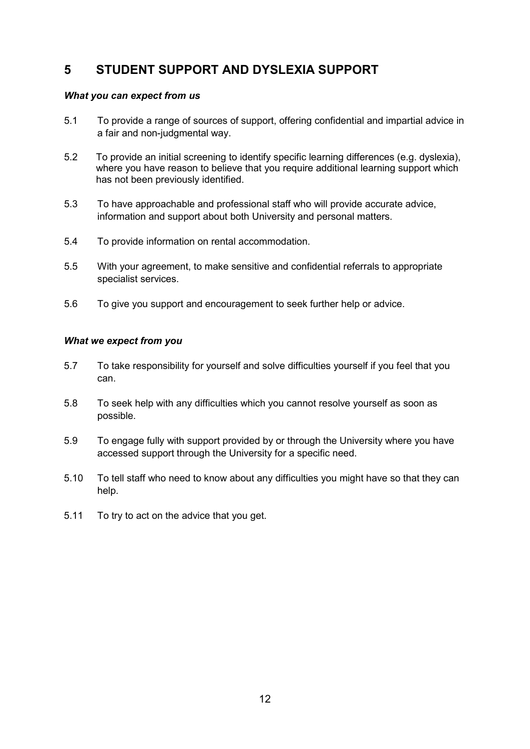## **5 STUDENT SUPPORT AND DYSLEXIA SUPPORT**

#### *What you can expect from us*

- 5.1 To provide a range of sources of support, offering confidential and impartial advice in a fair and non-judgmental way.
- 5.2 To provide an initial screening to identify specific learning differences (e.g. dyslexia), where you have reason to believe that you require additional learning support which has not been previously identified.
- 5.3 To have approachable and professional staff who will provide accurate advice, information and support about both University and personal matters.
- 5.4 To provide information on rental accommodation.
- 5.5 With your agreement, to make sensitive and confidential referrals to appropriate specialist services.
- 5.6 To give you support and encouragement to seek further help or advice.

- 5.7 To take responsibility for yourself and solve difficulties yourself if you feel that you can.
- 5.8 To seek help with any difficulties which you cannot resolve yourself as soon as possible.
- 5.9 To engage fully with support provided by or through the University where you have accessed support through the University for a specific need.
- 5.10 To tell staff who need to know about any difficulties you might have so that they can help.
- 5.11 To try to act on the advice that you get.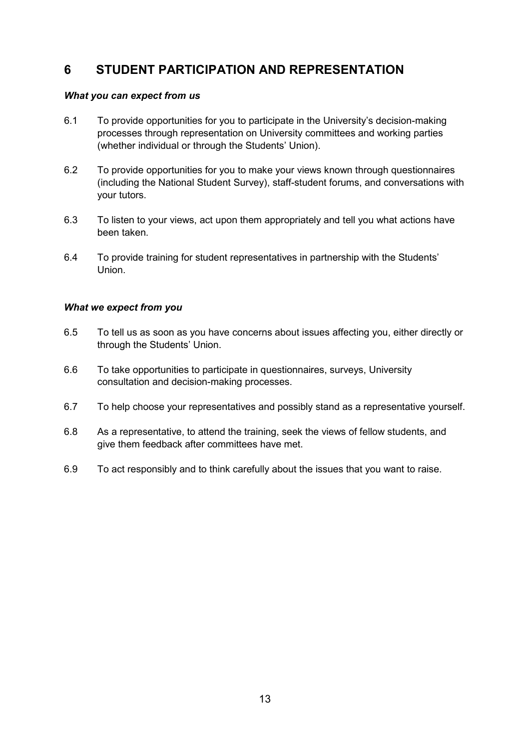## **6 STUDENT PARTICIPATION AND REPRESENTATION**

#### *What you can expect from us*

- 6.1 To provide opportunities for you to participate in the University's decision-making processes through representation on University committees and working parties (whether individual or through the Students' Union).
- 6.2 To provide opportunities for you to make your views known through questionnaires (including the National Student Survey), staff-student forums, and conversations with your tutors.
- 6.3 To listen to your views, act upon them appropriately and tell you what actions have been taken.
- 6.4 To provide training for student representatives in partnership with the Students' Union.

- 6.5 To tell us as soon as you have concerns about issues affecting you, either directly or through the Students' Union.
- 6.6 To take opportunities to participate in questionnaires, surveys, University consultation and decision-making processes.
- 6.7 To help choose your representatives and possibly stand as a representative yourself.
- 6.8 As a representative, to attend the training, seek the views of fellow students, and give them feedback after committees have met.
- 6.9 To act responsibly and to think carefully about the issues that you want to raise.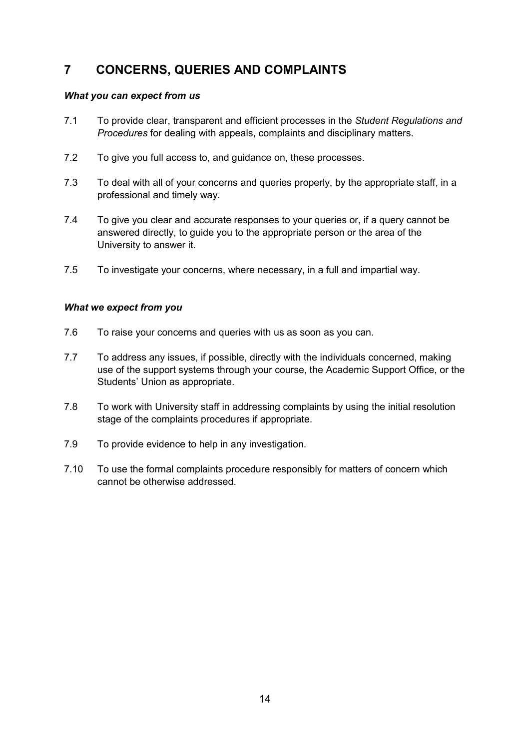## **7 CONCERNS, QUERIES AND COMPLAINTS**

#### *What you can expect from us*

- 7.1 To provide clear, transparent and efficient processes in the *Student Regulations and Procedures* for dealing with appeals, complaints and disciplinary matters.
- 7.2 To give you full access to, and guidance on, these processes.
- 7.3 To deal with all of your concerns and queries properly, by the appropriate staff, in a professional and timely way.
- 7.4 To give you clear and accurate responses to your queries or, if a query cannot be answered directly, to guide you to the appropriate person or the area of the University to answer it.
- 7.5 To investigate your concerns, where necessary, in a full and impartial way.

- 7.6 To raise your concerns and queries with us as soon as you can.
- 7.7 To address any issues, if possible, directly with the individuals concerned, making use of the support systems through your course, the Academic Support Office, or the Students' Union as appropriate.
- 7.8 To work with University staff in addressing complaints by using the initial resolution stage of the complaints procedures if appropriate.
- 7.9 To provide evidence to help in any investigation.
- 7.10 To use the formal complaints procedure responsibly for matters of concern which cannot be otherwise addressed.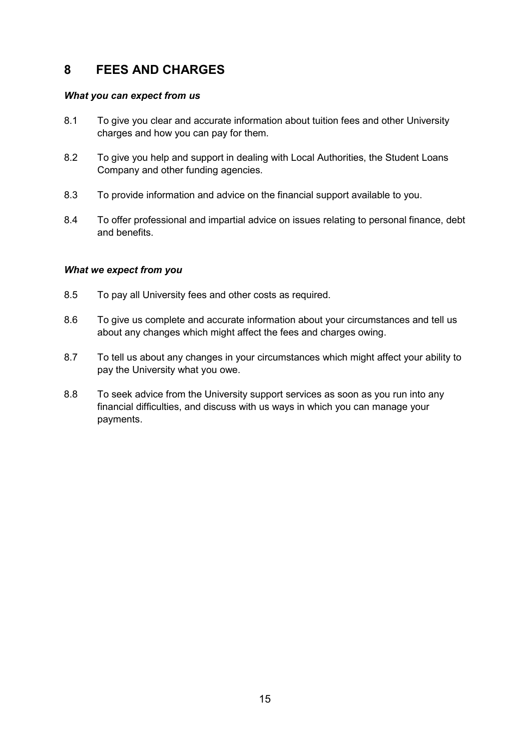## **8 FEES AND CHARGES**

#### *What you can expect from us*

- 8.1 To give you clear and accurate information about tuition fees and other University charges and how you can pay for them.
- 8.2 To give you help and support in dealing with Local Authorities, the Student Loans Company and other funding agencies.
- 8.3 To provide information and advice on the financial support available to you.
- 8.4 To offer professional and impartial advice on issues relating to personal finance, debt and benefits.

- 8.5 To pay all University fees and other costs as required.
- 8.6 To give us complete and accurate information about your circumstances and tell us about any changes which might affect the fees and charges owing.
- 8.7 To tell us about any changes in your circumstances which might affect your ability to pay the University what you owe.
- 8.8 To seek advice from the University support services as soon as you run into any financial difficulties, and discuss with us ways in which you can manage your payments.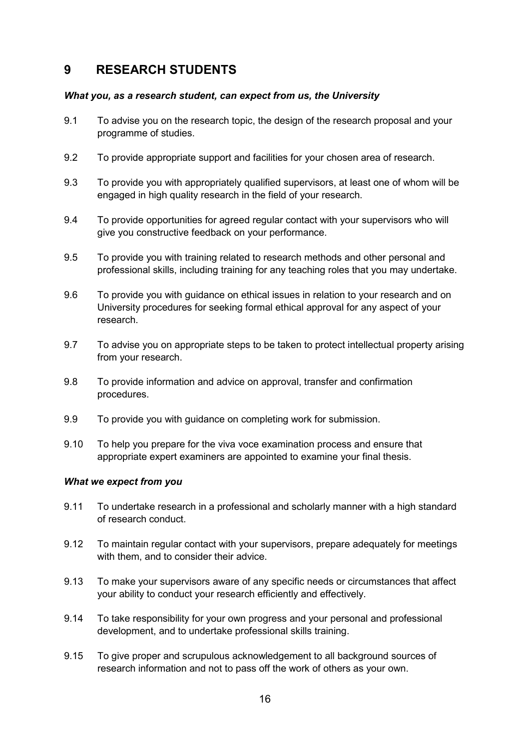## **9 RESEARCH STUDENTS**

#### *What you, as a research student, can expect from us, the University*

- 9.1 To advise you on the research topic, the design of the research proposal and your programme of studies.
- 9.2 To provide appropriate support and facilities for your chosen area of research.
- 9.3 To provide you with appropriately qualified supervisors, at least one of whom will be engaged in high quality research in the field of your research.
- 9.4 To provide opportunities for agreed regular contact with your supervisors who will give you constructive feedback on your performance.
- 9.5 To provide you with training related to research methods and other personal and professional skills, including training for any teaching roles that you may undertake.
- 9.6 To provide you with guidance on ethical issues in relation to your research and on University procedures for seeking formal ethical approval for any aspect of your research.
- 9.7 To advise you on appropriate steps to be taken to protect intellectual property arising from your research.
- 9.8 To provide information and advice on approval, transfer and confirmation procedures.
- 9.9 To provide you with guidance on completing work for submission.
- 9.10 To help you prepare for the viva voce examination process and ensure that appropriate expert examiners are appointed to examine your final thesis.

- 9.11 To undertake research in a professional and scholarly manner with a high standard of research conduct.
- 9.12 To maintain regular contact with your supervisors, prepare adequately for meetings with them, and to consider their advice.
- 9.13 To make your supervisors aware of any specific needs or circumstances that affect your ability to conduct your research efficiently and effectively.
- 9.14 To take responsibility for your own progress and your personal and professional development, and to undertake professional skills training.
- 9.15 To give proper and scrupulous acknowledgement to all background sources of research information and not to pass off the work of others as your own.